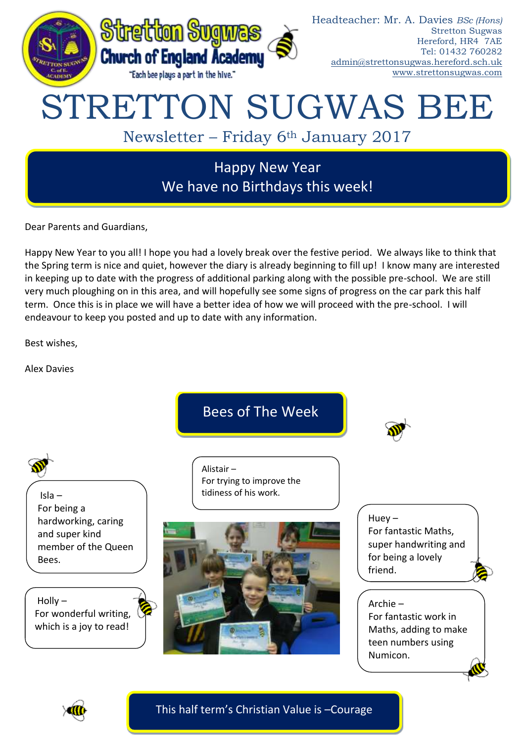

Dear Parents and Guardians,

Happy New Year to you all! I hope you had a lovely break over the festive period. We always like to think that the Spring term is nice and quiet, however the diary is already beginning to fill up! I know many are interested in keeping up to date with the progress of additional parking along with the possible pre-school. We are still very much ploughing on in this area, and will hopefully see some signs of progress on the car park this half term. Once this is in place we will have a better idea of how we will proceed with the pre-school. I will endeavour to keep you posted and up to date with any information.

Best wishes,

Alex Davies



This half term's Christian Value is –Courage